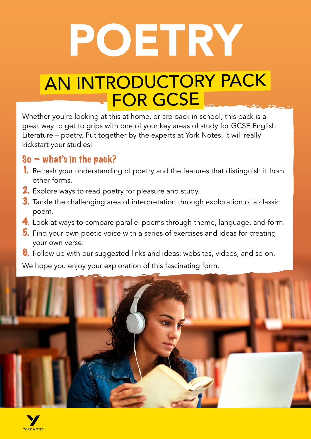# POETRY

# AN INTRODUCTORY PACK **FOR GCSE**

Whether you're looking at this at home, or are back in school, this pack is a great way to get to grips with one of your key areas of study for GCSE English Literature – poetry. Put together by the experts at York Notes, it will really kickstart your studies!

#### $So - what's in the pack?$

- 1. Refresh your understanding of poetry and the features that distinguish it from other forms.
- **2.** Explore ways to read poetry for pleasure and study.
- 3. Tackle the challenging area of interpretation through exploration of a classic poem.
- 4. Look at ways to compare parallel poems through theme, language, and form.
- 5. Find your own poetic voice with a series of exercises and ideas for creating your own verse.
- **6.** Follow up with our suggested links and ideas: websites, videos, and so on.

We hope you enjoy your exploration of this fascinating form.



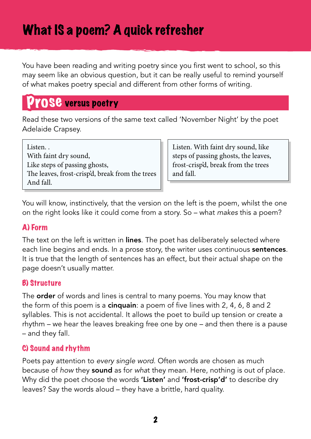You have been reading and writing poetry since you first went to school, so this may seem like an obvious question, but it can be really useful to remind yourself of what makes poetry special and different from other forms of writing.

### Prose versus poetry

Read these two versions of the same text called 'November Night' by the poet Adelaide Crapsey.

Listen. With faint dry sound, Like steps of passing ghosts, The leaves, frost-crisp'd, break from the trees And fall.

Listen. With faint dry sound, like steps of passing ghosts, the leaves, frost-crisp'd, break from the trees and fall.

You will know, instinctively, that the version on the left is the poem, whilst the one on the right looks like it could come from a story. So – what *makes* this a poem?

#### A) Form

The text on the left is written in lines. The poet has deliberately selected where each line begins and ends. In a prose story, the writer uses continuous **sentences**. It is true that the length of sentences has an effect, but their actual shape on the page doesn't usually matter.

#### B) Structure

The **order** of words and lines is central to many poems. You may know that the form of this poem is a **cinquain**: a poem of five lines with 2, 4, 6, 8 and 2 syllables. This is not accidental. It allows the poet to build up tension or create a rhythm – we hear the leaves breaking free one by one – and then there is a pause – and they fall.

#### C) Sound and rhythm

Poets pay attention to *every single word*. Often words are chosen as much because of *how* they sound as for *wha*t they mean. Here, nothing is out of place. Why did the poet choose the words 'Listen' and 'frost-crisp'd' to describe dry leaves? Say the words aloud – they have a brittle, hard quality.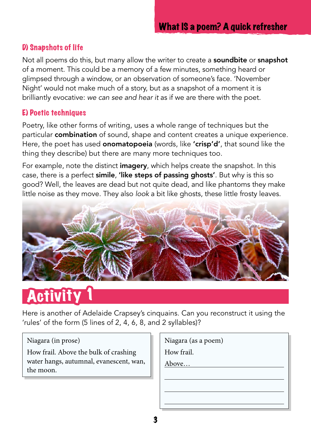#### D) Snapshots of life

Not all poems do this, but many allow the writer to create a **soundbite** or **snapshot** of a moment. This could be a memory of a few minutes, something heard or glimpsed through a window, or an observation of someone's face. 'November Night' would not make much of a story, but as a snapshot of a moment it is brilliantly evocative: *we can see and hear it* as if we are there with the poet.

#### E) Poetic techniques

Poetry, like other forms of writing, uses a whole range of techniques but the particular **combination** of sound, shape and content creates a unique experience. Here, the poet has used **onomatopoeia** (words, like 'crisp'd', that sound like the thing they describe) but there are many more techniques too.

For example, note the distinct imagery, which helps create the snapshot. In this case, there is a perfect simile, 'like steps of passing ghosts'. But why is this so good? Well, the leaves are dead but not quite dead, and like phantoms they make little noise as they move. They also *look* a bit like ghosts, these little frosty leaves.



# Activity

Here is another of Adelaide Crapsey's cinquains. Can you reconstruct it using the 'rules' of the form (5 lines of 2, 4, 6, 8, and 2 syllables)?

Niagara (in prose)

How frail. Above the bulk of crashing water hangs, autumnal, evanescent, wan, the moon.

Niagara (as a poem)

How frail.

Above…

 $\overline{a}$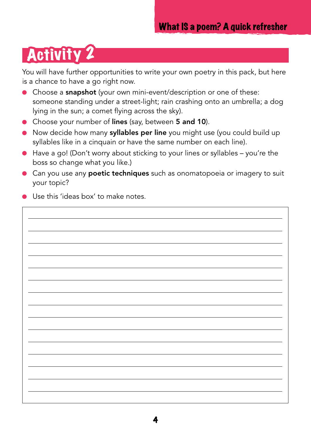# Activity 2

You will have further opportunities to write your own poetry in this pack, but here is a chance to have a go right now.

- Choose a snapshot (your own mini-event/description or one of these:  $\bullet$ someone standing under a street-light; rain crashing onto an umbrella; a dog lying in the sun; a comet flying across the sky).
- Choose your number of lines (say, between 5 and 10).
- Now decide how many syllables per line you might use (you could build up syllables like in a cinquain or have the same number on each line).
- Have a go! (Don't worry about sticking to your lines or syllables you're the boss so change what you like.)
- Can you use any **poetic techniques** such as onomatopoeia or imagery to suit your topic?
- Use this 'ideas box' to make notes.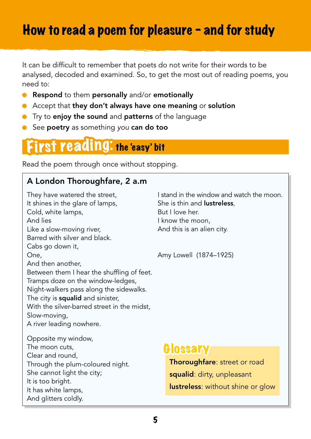### How to read a poem for pleasure - and for study

It can be difficult to remember that poets do not write for their words to be analysed, decoded and examined. So, to get the most out of reading poems, you need to:

- Respond to them personally and/or emotionally
- Accept that they don't always have one meaning or solution
- **•** Try to enjoy the sound and patterns of the language
- See poetry as something *you* can do too

### First reading: the 'easy' bit

Read the poem through once without stopping.

#### A London Thoroughfare, 2 a.m

They have watered the street, It shines in the glare of lamps, Cold, white lamps, And lies Like a slow-moving river, Barred with silver and black. Cabs go down it, One, And then another, Between them I hear the shuffling of feet. Tramps doze on the window-ledges, Night-walkers pass along the sidewalks. The city is **squalid** and sinister, With the silver-barred street in the midst. Slow-moving, A river leading nowhere. Opposite my window, The moon cuts, Clear and round, Through the plum-coloured night. She cannot light the city; It is too bright.

It has white lamps, And glitters coldly.

I stand in the window and watch the moon. She is thin and lustreless, But I love her. I know the moon, And this is an alien city.

Amy Lowell (1874–1925)

#### **Glossary**

Thoroughfare: street or road squalid: dirty, unpleasant lustreless: without shine or glow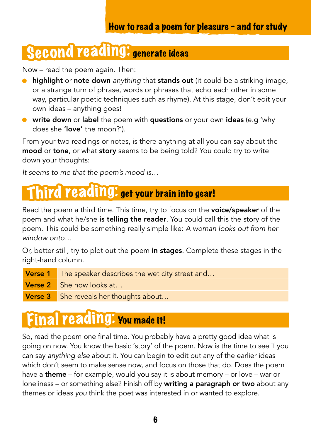# Second reading: generate ideas

Now – read the poem again. Then:

- highlight or note down *anything* that stands out (it could be a striking image, or a strange turn of phrase, words or phrases that echo each other in some way, particular poetic techniques such as rhyme). At this stage, don't edit your own ideas – anything goes!
- **•** write down or label the poem with questions or your own ideas (e.g 'why does she 'love' the moon?').

From your two readings or notes, is there anything at all you can say about the **mood** or **tone**, or what **story** seems to be being told? You could try to write down your thoughts:

*It seems to me that the poem's mood is…*

## Third reading: get your brain into gear!

Read the poem a third time. This time, try to focus on the **voice/speaker** of the poem and what he/she is telling the reader. You could call this the story of the poem. This could be something really simple like: *A woman looks out from her window onto…*

Or, better still, try to plot out the poem in stages. Complete these stages in the right-hand column.

- Verse 1 The speaker describes the wet city street and...
- Verse 2 She now looks at...
- Verse 3 She reveals her thoughts about...

# Final reading: You made it!

So, read the poem one final time. You probably have a pretty good idea what is going on now. You know the basic 'story' of the poem. Now is the time to see if you can say *anything else* about it. You can begin to edit out any of the earlier ideas which don't seem to make sense now, and focus on those that do. Does the poem have a **theme** – for example, would you say it is about memory – or love – war or loneliness – or something else? Finish off by **writing a paragraph or two** about any themes or ideas *you* think the poet was interested in or wanted to explore.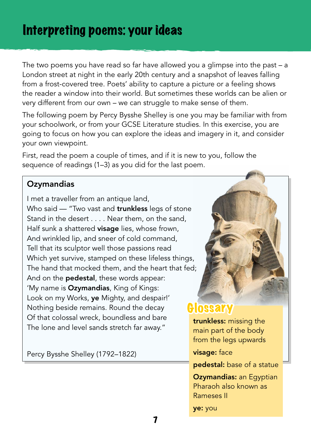### Interpreting poems: your ideas

The two poems you have read so far have allowed you a glimpse into the past – a London street at night in the early 20th century and a snapshot of leaves falling from a frost-covered tree. Poets' ability to capture a picture or a feeling shows the reader a window into their world. But sometimes these worlds can be alien or very different from our own – we can struggle to make sense of them.

The following poem by Percy Bysshe Shelley is one you may be familiar with from your schoolwork, or from your GCSE Literature studies. In this exercise, you are going to focus on how you can explore the ideas and imagery in it, and consider your own viewpoint.

First, read the poem a couple of times, and if it is new to you, follow the sequence of readings (1–3) as you did for the last poem.

#### **Ozymandias**

I met a traveller from an antique land, Who said — "Two vast and **trunkless** legs of stone Stand in the desert . . . . Near them, on the sand, Half sunk a shattered **visage** lies, whose frown, And wrinkled lip, and sneer of cold command, Tell that its sculptor well those passions read Which yet survive, stamped on these lifeless things, The hand that mocked them, and the heart that fed; And on the **pedestal**, these words appear: 'My name is **Ozymandias**, King of Kings: Look on my Works, ye Mighty, and despair!' Nothing beside remains. Round the decay Of that colossal wreck, boundless and bare The lone and level sands stretch far away."

Percy Bysshe Shelley (1792–1822)



#### **Glossary**

trunkless: missing the main part of the body from the legs upwards

#### visage: face

pedestal: base of a statue

**Ozymandias: an Egyptian** Pharaoh also known as Rameses II

ye: you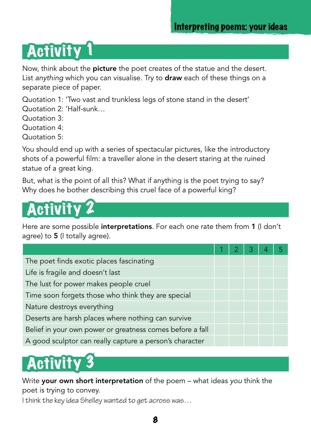#### Interpreting poems: your ideas

# **Activity**

Now, think about the **picture** the poet creates of the statue and the desert. List *anything* which you can visualise. Try to draw each of these things on a separate piece of paper.

Quotation 1: 'Two vast and trunkless legs of stone stand in the desert' Quotation 2: 'Half-sunk…

Quotation 3:

Quotation 4:

Quotation 5:

You should end up with a series of spectacular pictures, like the introductory shots of a powerful film: a traveller alone in the desert staring at the ruined statue of a great king.

But, what is the point of all this? What if anything is the poet trying to say? Why does he bother describing this cruel face of a powerful king?



Here are some possible **interpretations**. For each one rate them from 1 (I don't agree) to 5 (I totally agree).

| The poet finds exotic places fascinating                  |  |  |  |
|-----------------------------------------------------------|--|--|--|
| Life is fragile and doesn't last                          |  |  |  |
| The lust for power makes people cruel                     |  |  |  |
| Time soon forgets those who think they are special        |  |  |  |
| Nature destroys everything                                |  |  |  |
| Deserts are harsh places where nothing can survive        |  |  |  |
| Belief in your own power or greatness comes before a fall |  |  |  |
| A good sculptor can really capture a person's character   |  |  |  |

# Activit

Write your own short interpretation of the poem – what ideas *you* think the poet is trying to convey.

I think the key idea Shelley wanted to get across was…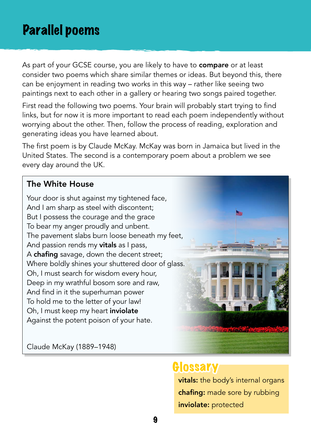### Parallel poems

As part of your GCSE course, you are likely to have to **compare** or at least consider two poems which share similar themes or ideas. But beyond this, there can be enjoyment in reading two works in this way – rather like seeing two paintings next to each other in a gallery or hearing two songs paired together.

First read the following two poems. Your brain will probably start trying to find links, but for now it is more important to read each poem independently without worrying about the other. Then, follow the process of reading, exploration and generating ideas you have learned about.

The first poem is by Claude McKay. McKay was born in Jamaica but lived in the United States. The second is a contemporary poem about a problem we see every day around the UK.

#### The White House

Your door is shut against my tightened face, And I am sharp as steel with discontent; But I possess the courage and the grace To bear my anger proudly and unbent. The pavement slabs burn loose beneath my feet, And passion rends my vitals as I pass, A chafing savage, down the decent street; Where boldly shines your shuttered door of glass. Oh, I must search for wisdom every hour, Deep in my wrathful bosom sore and raw, And find in it the superhuman power To hold me to the letter of your law! Oh, I must keep my heart inviolate Against the potent poison of your hate.

Claude McKay (1889–1948)

#### **Glossary**

vitals: the body's internal organs chafing: made sore by rubbing inviolate: protected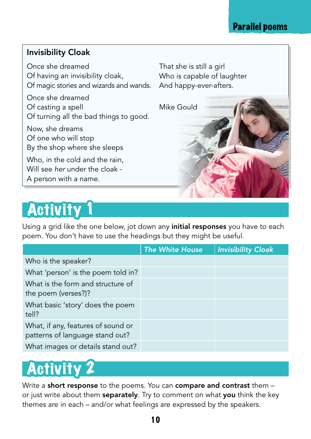#### Parallel poems

#### Invisibility Cloak

Once she dreamed Of having an invisibility cloak, Of magic stories and wizards and wands.

Once she dreamed Of casting a spell Of turning all the bad things to good.

Now, she dreams Of one who will stop By the shop where she sleeps

Who, in the cold and the rain, Will see *her* under the cloak - A person with a name.

**Activity** 

Using a grid like the one below, jot down any **initial responses** you have to each poem. You don't have to use the headings but they might be useful.

That she is still a girl

Mike Gould

And happy-ever-afters.

Who is capable of laughter

|                                                                       | <b>The White House</b> | <b>Invisibility Cloak</b> |
|-----------------------------------------------------------------------|------------------------|---------------------------|
| Who is the speaker?                                                   |                        |                           |
| What 'person' is the poem told in?                                    |                        |                           |
| What is the form and structure of<br>the poem (verses?)?              |                        |                           |
| What basic 'story' does the poem<br>tell?                             |                        |                           |
| What, if any, features of sound or<br>patterns of language stand out? |                        |                           |
| What images or details stand out?                                     |                        |                           |



Write a short response to the poems. You can compare and contrast them or just write about them separately. Try to comment on what you think the key themes are in each – and/or what feelings are expressed by the speakers.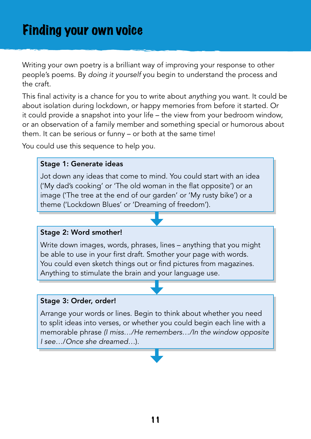Writing your own poetry is a brilliant way of improving your response to other people's poems. By *doing it yourself* you begin to understand the process and the craft.

This final activity is a chance for you to write about *anything* you want. It could be about isolation during lockdown, or happy memories from before it started. Or it could provide a snapshot into your life – the view from your bedroom window, or an observation of a family member and something special or humorous about them. It can be serious or funny – or both at the same time!

You could use this sequence to help you.

#### Stage 1: Generate ideas

Jot down any ideas that come to mind. You could start with an idea ('My dad's cooking' or 'The old woman in the flat opposite') or an image ('The tree at the end of our garden' or 'My rusty bike') or a theme ('Lockdown Blues' or 'Dreaming of freedom').

#### Stage 2: Word smother!

Write down images, words, phrases, lines – anything that you might be able to use in your first draft. Smother your page with words. You could even sketch things out or find pictures from magazines. Anything to stimulate the brain and your language use.

#### Stage 3: Order, order!

Arrange your words or lines. Begin to think about whether you need to split ideas into verses, or whether you could begin each line with a memorable phrase *(I miss…/He remembers…/In the window opposite I see…*/*Once she dreamed…*).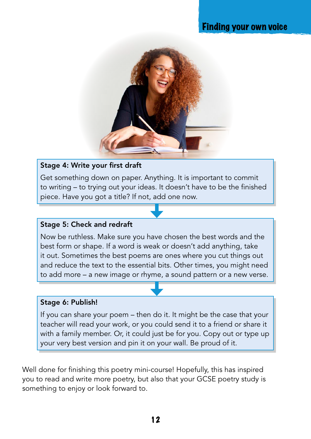#### Finding your own voice



#### Stage 4: Write your first draft

Get something down on paper. Anything. It is important to commit to writing – to trying out your ideas. It doesn't have to be the finished piece. Have you got a title? If not, add one now.

#### Stage 5: Check and redraft

Now be ruthless. Make sure you have chosen the best words and the best form or shape. If a word is weak or doesn't add anything, take it out. Sometimes the best poems are ones where you cut things out and reduce the text to the essential bits. Other times, you might need to add more – a new image or rhyme, a sound pattern or a new verse.

#### Stage 6: Publish!

If you can share your poem – then do it. It might be the case that your teacher will read your work, or you could send it to a friend or share it with a family member. Or, it could just be for you. Copy out or type up your very best version and pin it on your wall. Be proud of it.

Well done for finishing this poetry mini-course! Hopefully, this has inspired you to read and write more poetry, but also that your GCSE poetry study is something to enjoy or look forward to.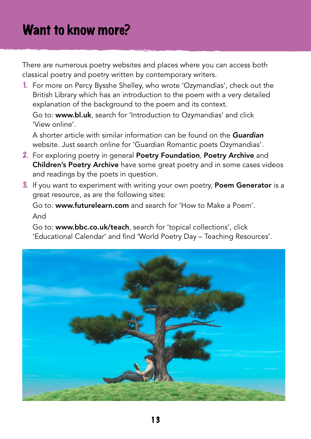There are numerous poetry websites and places where you can access both classical poetry and poetry written by contemporary writers.

1. For more on Percy Bysshe Shelley, who wrote 'Ozymandias', check out the British Library which has an introduction to the poem with a very detailed explanation of the background to the poem and its context.

Go to: [www.bl.uk](http://www.bl.uk/), search for 'Introduction to Ozymandias' and click 'View online'.

A shorter article with similar information can be found on the *[Guardian](https://www.theguardian.com/uk)* website. Just search online for 'Guardian Romantic poets Ozymandias'.

- 2. For exploring poetry in general [Poetry Foundation](https://www.poetryfoundation.org/), [Poetry Archive](https://poetryarchive.org/) and [Children's Poetry Archive](https://childrens.poetryarchive.org/) have some great poetry and in some cases videos and readings by the poets in question.
- 3. If you want to experiment with writing your own poetry, [Poem Generator](https://www.poem-generator.org.uk/) is a great resource, as are the following sites:

Go to: [www.futurelearn.com](http://www.futurelearn.com) and search for 'How to Make a Poem'. And

Go to: [www.bbc.co.uk/teach](http://www.bbc.co.uk/teach), search for 'topical collections', click 'Educational Calendar' and find 'World Poetry Day – Teaching Resources'.